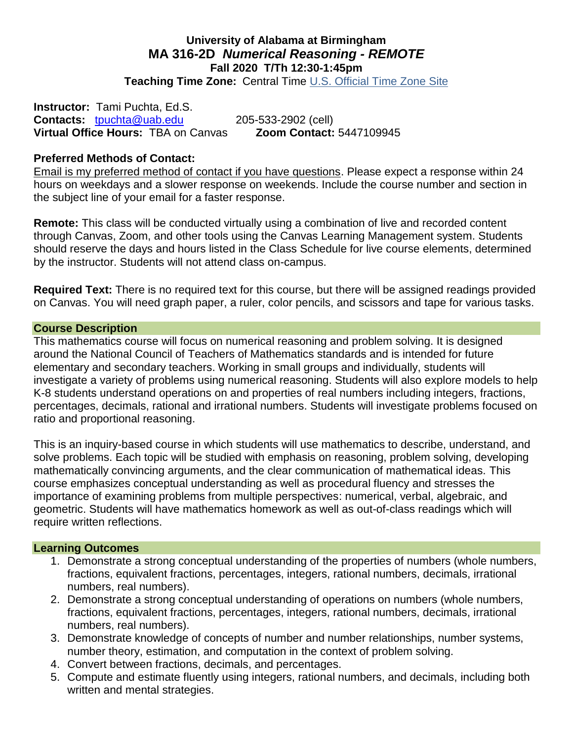### **University of Alabama at Birmingham MA 316-2D** *Numerical Reasoning - REMOTE* **Fall 2020 T/Th 12:30-1:45pm Teaching Time Zone:** Central Time [U.S. Official Time Zone Site](http://24timezones.com/us_clock/usa_time.php)

**Instructor:** Tami Puchta, Ed.S. **Contacts:** [tpuchta@uab.edu](mailto:tpuchta@uab.edu) 205-533-2902 (cell) **Virtual Office Hours:** TBA on Canvas **Zoom Contact:** 5447109945

### **Preferred Methods of Contact:**

Email is my preferred method of contact if you have questions. Please expect a response within 24 hours on weekdays and a slower response on weekends. Include the course number and section in the subject line of your email for a faster response.

**Remote:** This class will be conducted virtually using a combination of live and recorded content through Canvas, Zoom, and other tools using the Canvas Learning Management system. Students should reserve the days and hours listed in the Class Schedule for live course elements, determined by the instructor. Students will not attend class on-campus.

**Required Text:** There is no required text for this course, but there will be assigned readings provided on Canvas. You will need graph paper, a ruler, color pencils, and scissors and tape for various tasks.

#### **Course Description**

This mathematics course will focus on numerical reasoning and problem solving. It is designed around the National Council of Teachers of Mathematics standards and is intended for future elementary and secondary teachers. Working in small groups and individually, students will investigate a variety of problems using numerical reasoning. Students will also explore models to help K-8 students understand operations on and properties of real numbers including integers, fractions, percentages, decimals, rational and irrational numbers. Students will investigate problems focused on ratio and proportional reasoning.

This is an inquiry-based course in which students will use mathematics to describe, understand, and solve problems. Each topic will be studied with emphasis on reasoning, problem solving, developing mathematically convincing arguments, and the clear communication of mathematical ideas. This course emphasizes conceptual understanding as well as procedural fluency and stresses the importance of examining problems from multiple perspectives: numerical, verbal, algebraic, and geometric. Students will have mathematics homework as well as out-of-class readings which will require written reflections.

#### **Learning Outcomes**

- 1. Demonstrate a strong conceptual understanding of the properties of numbers (whole numbers, fractions, equivalent fractions, percentages, integers, rational numbers, decimals, irrational numbers, real numbers).
- 2. Demonstrate a strong conceptual understanding of operations on numbers (whole numbers, fractions, equivalent fractions, percentages, integers, rational numbers, decimals, irrational numbers, real numbers).
- 3. Demonstrate knowledge of concepts of number and number relationships, number systems, number theory, estimation, and computation in the context of problem solving.
- 4. Convert between fractions, decimals, and percentages.
- 5. Compute and estimate fluently using integers, rational numbers, and decimals, including both written and mental strategies.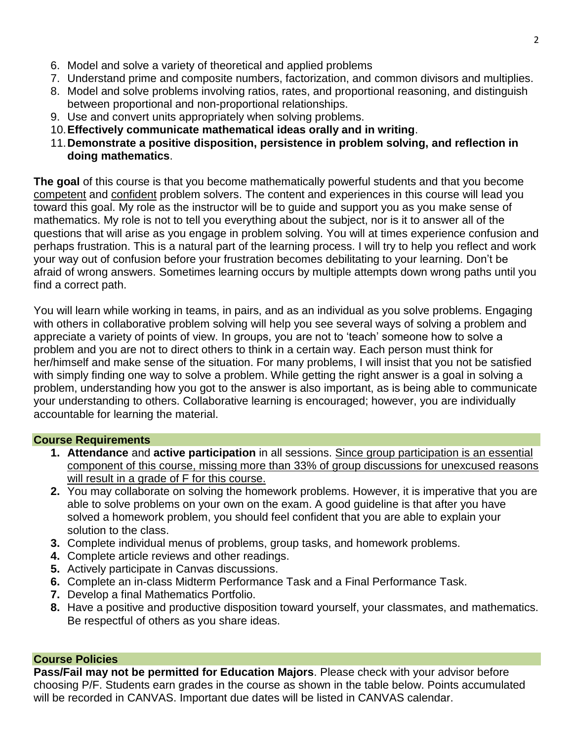- 6. Model and solve a variety of theoretical and applied problems
- 7. Understand prime and composite numbers, factorization, and common divisors and multiplies.
- 8. Model and solve problems involving ratios, rates, and proportional reasoning, and distinguish between proportional and non-proportional relationships.
- 9. Use and convert units appropriately when solving problems.
- 10.**Effectively communicate mathematical ideas orally and in writing**.
- 11.**Demonstrate a positive disposition, persistence in problem solving, and reflection in doing mathematics**.

**The goal** of this course is that you become mathematically powerful students and that you become competent and confident problem solvers. The content and experiences in this course will lead you toward this goal. My role as the instructor will be to guide and support you as you make sense of mathematics. My role is not to tell you everything about the subject, nor is it to answer all of the questions that will arise as you engage in problem solving. You will at times experience confusion and perhaps frustration. This is a natural part of the learning process. I will try to help you reflect and work your way out of confusion before your frustration becomes debilitating to your learning. Don't be afraid of wrong answers. Sometimes learning occurs by multiple attempts down wrong paths until you find a correct path.

You will learn while working in teams, in pairs, and as an individual as you solve problems. Engaging with others in collaborative problem solving will help you see several ways of solving a problem and appreciate a variety of points of view. In groups, you are not to 'teach' someone how to solve a problem and you are not to direct others to think in a certain way. Each person must think for her/himself and make sense of the situation. For many problems, I will insist that you not be satisfied with simply finding one way to solve a problem. While getting the right answer is a goal in solving a problem, understanding how you got to the answer is also important, as is being able to communicate your understanding to others. Collaborative learning is encouraged; however, you are individually accountable for learning the material.

#### **Course Requirements**

- **1. Attendance** and **active participation** in all sessions. Since group participation is an essential component of this course, missing more than 33% of group discussions for unexcused reasons will result in a grade of F for this course.
- **2.** You may collaborate on solving the homework problems. However, it is imperative that you are able to solve problems on your own on the exam. A good guideline is that after you have solved a homework problem, you should feel confident that you are able to explain your solution to the class.
- **3.** Complete individual menus of problems, group tasks, and homework problems.
- **4.** Complete article reviews and other readings.
- **5.** Actively participate in Canvas discussions.
- **6.** Complete an in-class Midterm Performance Task and a Final Performance Task.
- **7.** Develop a final Mathematics Portfolio.
- **8.** Have a positive and productive disposition toward yourself, your classmates, and mathematics. Be respectful of others as you share ideas.

#### **Course Policies**

**Pass/Fail may not be permitted for Education Majors**. Please check with your advisor before choosing P/F. Students earn grades in the course as shown in the table below. Points accumulated will be recorded in CANVAS. Important due dates will be listed in CANVAS calendar.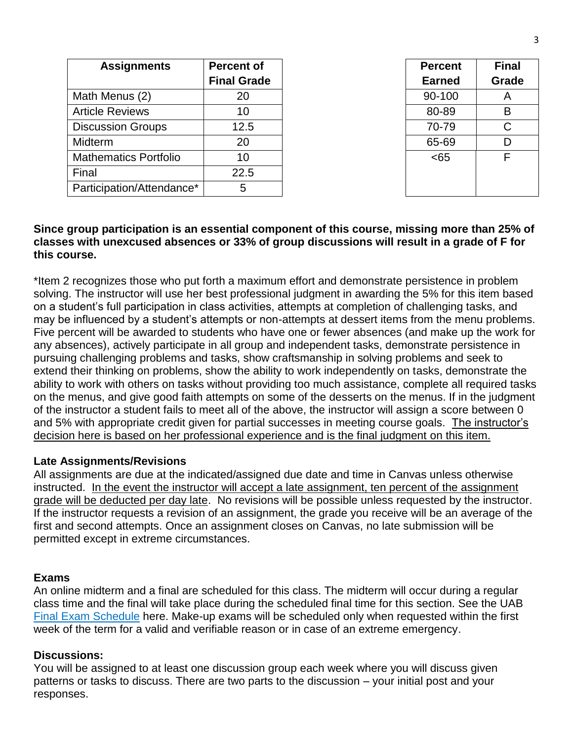| <b>Assignments</b>           | <b>Percent of</b>  | <b>Percent</b> | Fin          |
|------------------------------|--------------------|----------------|--------------|
|                              | <b>Final Grade</b> | <b>Earned</b>  | Gra          |
| Math Menus (2)               | 20                 | 90-100         | $\mathsf{A}$ |
| <b>Article Reviews</b>       | 10                 | 80-89          | B            |
| <b>Discussion Groups</b>     | 12.5               | 70-79          | C            |
| Midterm                      | 20                 | 65-69          | D            |
| <b>Mathematics Portfolio</b> | 10                 | <65            | F            |
| Final                        | 22.5               |                |              |
| Participation/Attendance*    | 5                  |                |              |

| Percent | Final |  |
|---------|-------|--|
| Earned  | Grade |  |
| 90-100  | А     |  |
| 80-89   | B     |  |
| 70-79   | C     |  |
| 65-69   | D     |  |
| <65     | F     |  |

### **Since group participation is an essential component of this course, missing more than 25% of classes with unexcused absences or 33% of group discussions will result in a grade of F for this course.**

\*Item 2 recognizes those who put forth a maximum effort and demonstrate persistence in problem solving. The instructor will use her best professional judgment in awarding the 5% for this item based on a student's full participation in class activities, attempts at completion of challenging tasks, and may be influenced by a student's attempts or non-attempts at dessert items from the menu problems. Five percent will be awarded to students who have one or fewer absences (and make up the work for any absences), actively participate in all group and independent tasks, demonstrate persistence in pursuing challenging problems and tasks, show craftsmanship in solving problems and seek to extend their thinking on problems, show the ability to work independently on tasks, demonstrate the ability to work with others on tasks without providing too much assistance, complete all required tasks on the menus, and give good faith attempts on some of the desserts on the menus. If in the judgment of the instructor a student fails to meet all of the above, the instructor will assign a score between 0 and 5% with appropriate credit given for partial successes in meeting course goals. The instructor's decision here is based on her professional experience and is the final judgment on this item.

### **Late Assignments/Revisions**

All assignments are due at the indicated/assigned due date and time in Canvas unless otherwise instructed. In the event the instructor will accept a late assignment, ten percent of the assignment grade will be deducted per day late. No revisions will be possible unless requested by the instructor. If the instructor requests a revision of an assignment, the grade you receive will be an average of the first and second attempts. Once an assignment closes on Canvas, no late submission will be permitted except in extreme circumstances.

#### **Exams**

An online midterm and a final are scheduled for this class. The midterm will occur during a regular class time and the final will take place during the scheduled final time for this section. See the UAB [Final Exam Schedule](https://www.uab.edu/students/academics/final-exams) here. Make-up exams will be scheduled only when requested within the first week of the term for a valid and verifiable reason or in case of an extreme emergency.

#### **Discussions:**

You will be assigned to at least one discussion group each week where you will discuss given patterns or tasks to discuss. There are two parts to the discussion – your initial post and your responses.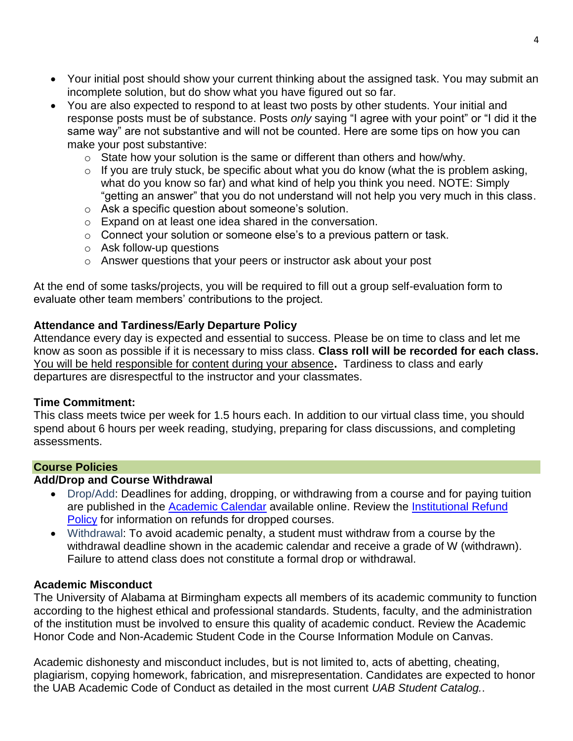- Your initial post should show your current thinking about the assigned task. You may submit an incomplete solution, but do show what you have figured out so far.
- You are also expected to respond to at least two posts by other students. Your initial and response posts must be of substance. Posts *only* saying "I agree with your point" or "I did it the same way" are not substantive and will not be counted. Here are some tips on how you can make your post substantive:
	- o State how your solution is the same or different than others and how/why.
	- $\circ$  If you are truly stuck, be specific about what you do know (what the is problem asking, what do you know so far) and what kind of help you think you need. NOTE: Simply "getting an answer" that you do not understand will not help you very much in this class.
	- o Ask a specific question about someone's solution.
	- o Expand on at least one idea shared in the conversation.
	- o Connect your solution or someone else's to a previous pattern or task.
	- o Ask follow-up questions
	- o Answer questions that your peers or instructor ask about your post

At the end of some tasks/projects, you will be required to fill out a group self-evaluation form to evaluate other team members' contributions to the project.

## **Attendance and Tardiness/Early Departure Policy**

Attendance every day is expected and essential to success. Please be on time to class and let me know as soon as possible if it is necessary to miss class. **Class roll will be recorded for each class.** You will be held responsible for content during your absence**.** Tardiness to class and early departures are disrespectful to the instructor and your classmates.

### **Time Commitment:**

This class meets twice per week for 1.5 hours each. In addition to our virtual class time, you should spend about 6 hours per week reading, studying, preparing for class discussions, and completing assessments.

## **Course Policies**

### **Add/Drop and Course Withdrawal**

- Drop/Add: Deadlines for adding, dropping, or withdrawing from a course and for paying tuition are published in the [Academic Calendar](https://www.uab.edu/students/academics/academic-calendar) available online. Review the [Institutional Refund](https://www.uab.edu/students/one-stop/policies/institutional-refund-policy)  [Policy](https://www.uab.edu/students/one-stop/policies/institutional-refund-policy) for information on refunds for dropped courses.
- Withdrawal: To avoid academic penalty, a student must withdraw from a course by the withdrawal deadline shown in the academic calendar and receive a grade of W (withdrawn). Failure to attend class does not constitute a formal drop or withdrawal.

### **Academic Misconduct**

The University of Alabama at Birmingham expects all members of its academic community to function according to the highest ethical and professional standards. Students, faculty, and the administration of the institution must be involved to ensure this quality of academic conduct. Review the Academic Honor Code and Non-Academic Student Code in the Course Information Module on Canvas.

Academic dishonesty and misconduct includes, but is not limited to, acts of abetting, cheating, plagiarism, copying homework, fabrication, and misrepresentation. Candidates are expected to honor the UAB Academic Code of Conduct as detailed in the most current *UAB Student Catalog.*.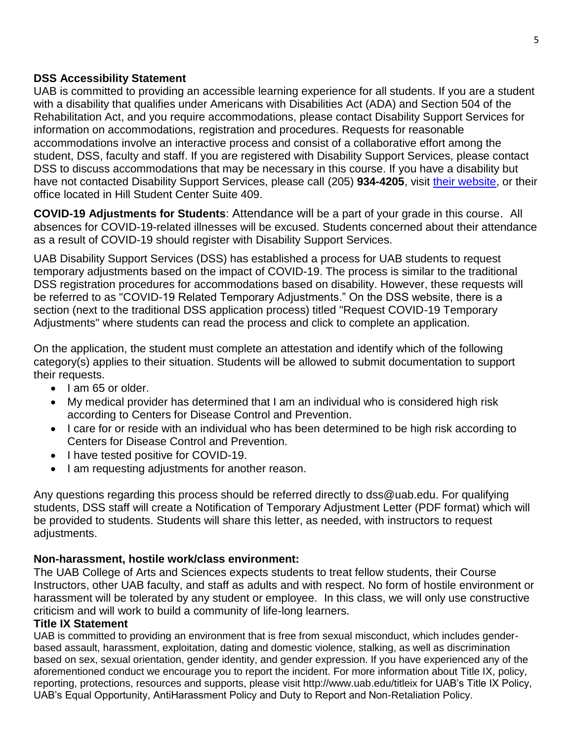### **DSS Accessibility Statement**

UAB is committed to providing an accessible learning experience for all students. If you are a student with a disability that qualifies under Americans with Disabilities Act (ADA) and Section 504 of the Rehabilitation Act, and you require accommodations, please contact Disability Support Services for information on accommodations, registration and procedures. Requests for reasonable accommodations involve an interactive process and consist of a collaborative effort among the student, DSS, faculty and staff. If you are registered with Disability Support Services, please contact DSS to discuss accommodations that may be necessary in this course. If you have a disability but have not contacted Disability Support Services, please call (205) **934-4205**, visit [their website,](http://www.uab.edu/dss) or their office located in Hill Student Center Suite 409.

**COVID-19 Adjustments for Students**: Attendance will be a part of your grade in this course. All absences for COVID-19-related illnesses will be excused. Students concerned about their attendance as a result of COVID-19 should register with Disability Support Services.

UAB Disability Support Services (DSS) has established a process for UAB students to request temporary adjustments based on the impact of COVID-19. The process is similar to the traditional DSS registration procedures for accommodations based on disability. However, these requests will be referred to as "COVID-19 Related Temporary Adjustments." On the DSS website, there is a section (next to the traditional DSS application process) titled "Request COVID-19 Temporary Adjustments" where students can read the process and click to complete an application.

On the application, the student must complete an attestation and identify which of the following category(s) applies to their situation. Students will be allowed to submit documentation to support their requests.

- I am 65 or older.
- My medical provider has determined that I am an individual who is considered high risk according to Centers for Disease Control and Prevention.
- I care for or reside with an individual who has been determined to be high risk according to Centers for Disease Control and Prevention.
- I have tested positive for COVID-19.
- I am requesting adjustments for another reason.

Any questions regarding this process should be referred directly to dss@uab.edu. For qualifying students, DSS staff will create a Notification of Temporary Adjustment Letter (PDF format) which will be provided to students. Students will share this letter, as needed, with instructors to request adjustments.

### **Non-harassment, hostile work/class environment:**

The UAB College of Arts and Sciences expects students to treat fellow students, their Course Instructors, other UAB faculty, and staff as adults and with respect. No form of hostile environment or harassment will be tolerated by any student or employee. In this class, we will only use constructive criticism and will work to build a community of life-long learners.

### **Title IX Statement**

UAB is committed to providing an environment that is free from sexual misconduct, which includes genderbased assault, harassment, exploitation, dating and domestic violence, stalking, as well as discrimination based on sex, sexual orientation, gender identity, and gender expression. If you have experienced any of the aforementioned conduct we encourage you to report the incident. For more information about Title IX, policy, reporting, protections, resources and supports, please visit http://www.uab.edu/titleix for UAB's Title IX Policy, UAB's Equal Opportunity, AntiHarassment Policy and Duty to Report and Non-Retaliation Policy.